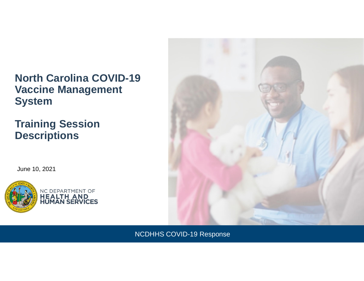## **North Carolina COVID-19 Vaccine Management System**

## **Training Session Descriptions**

June 10, 2021





NCDHHS COVID-19 Response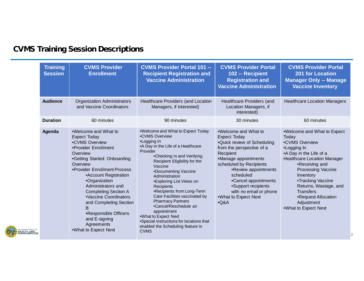## **CVMS Training Session Descriptions**

| <b>Training</b><br><b>Session</b> | <b>CVMS Provider</b><br><b>Enrollment</b>                                                                                                                                                                                                                                                                                                                                                                             | <b>CVMS Provider Portal 101 --</b><br><b>Recipient Registration and</b><br><b>Vaccine Administration</b>                                                                                                                                                                                                                                                                                                                                                                                                                                             | <b>CVMS Provider Portal</b><br>102 -- Recipient<br><b>Registration and</b><br><b>Vaccine Administration</b>                                                                                                                                                                                                             | <b>CVMS Provider Portal</b><br><b>201 for Location</b><br><b>Manager Only -- Manage</b><br><b>Vaccine Inventory</b>                                                                                                                                                                                                               |
|-----------------------------------|-----------------------------------------------------------------------------------------------------------------------------------------------------------------------------------------------------------------------------------------------------------------------------------------------------------------------------------------------------------------------------------------------------------------------|------------------------------------------------------------------------------------------------------------------------------------------------------------------------------------------------------------------------------------------------------------------------------------------------------------------------------------------------------------------------------------------------------------------------------------------------------------------------------------------------------------------------------------------------------|-------------------------------------------------------------------------------------------------------------------------------------------------------------------------------------------------------------------------------------------------------------------------------------------------------------------------|-----------------------------------------------------------------------------------------------------------------------------------------------------------------------------------------------------------------------------------------------------------------------------------------------------------------------------------|
| <b>Audience</b>                   | <b>Organization Administrators</b><br>and Vaccine Coordinators                                                                                                                                                                                                                                                                                                                                                        | <b>Healthcare Providers (and Location</b><br>Managers, if interested)                                                                                                                                                                                                                                                                                                                                                                                                                                                                                | Healthcare Providers (and<br>Location Managers, if<br>interested)                                                                                                                                                                                                                                                       | <b>Healthcare Location Managers</b>                                                                                                                                                                                                                                                                                               |
| <b>Duration</b>                   | 60 minutes                                                                                                                                                                                                                                                                                                                                                                                                            | 90 minutes                                                                                                                                                                                                                                                                                                                                                                                                                                                                                                                                           | 30 minutes                                                                                                                                                                                                                                                                                                              | 60 minutes                                                                                                                                                                                                                                                                                                                        |
| Agenda                            | .Welcome and What to<br><b>Expect Today</b><br>•CVMS Overview<br>•Provider Enrollment<br>Overview<br>•Getting Started: Onboarding<br>Overview<br>•Provider Enrollment Process<br>• Account Registration<br>•Organization<br>Administrators and<br><b>Completing Section A</b><br>•Vaccine Coordinators<br>and Completing Section<br>B<br>•Responsible Officers<br>and E-signing<br>Agreements<br>.What to Expect Next | •Welcome and What to Expect Today<br>•CVMS Overview<br>•Logging In<br>•A Day in the Life of a Healthcare<br>Provider<br>•Checking in and Verifying<br>Recipient Eligibility for the<br>Vaccine<br>•Documenting Vaccine<br>Administration<br>•Exploring List Views on<br><b>Recipients</b><br>•Recipients from Long-Term<br>Care Facilities vaccinated by<br><b>Pharmacy Partners</b><br>•Cancel/Reschedule an<br>appointment<br>.What to Expect Next<br>•Special instructions for locations that<br>enabled the Scheduling feature in<br><b>CVMS</b> | .Welcome and What to<br><b>Expect Today</b><br>.Quick review of Scheduling<br>from the perspective of a<br>Recipient<br>•Manage appointments<br>scheduled by Recipients<br>•Review appointments<br>scheduled<br>•Cancel appointments<br>•Support recipients<br>with no email or phone<br>.What to Expect Next<br>$-Q&A$ | •Welcome and What to Expect<br>Today<br>•CVMS Overview<br>•Logging In<br>•A Day in the Life of a<br><b>Healthcare Location Manager</b><br>•Receiving and<br><b>Processing Vaccine</b><br>Inventory<br>•Tracking Vaccine<br>Returns, Wastage, and<br><b>Transfers</b><br>•Request Allocation<br>Adjustment<br>•What to Expect Next |